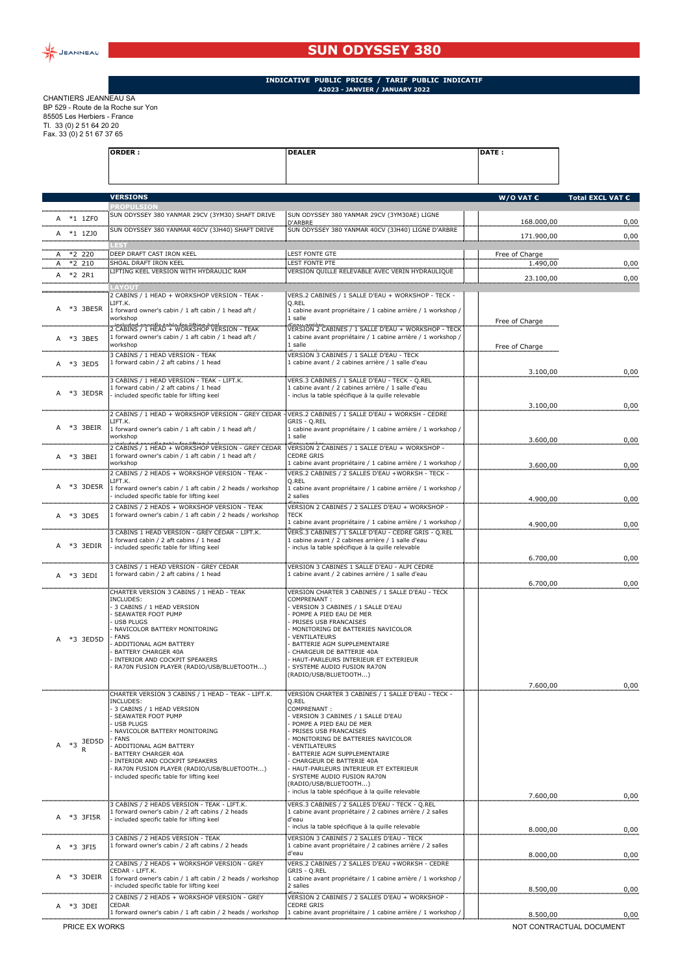

## **SUN ODYSSEY 380**

## **INDICATIVE PUBLIC PRICES / TARIF PUBLIC INDICATIF A2023 - JANVIER / JANUARY 2022**

CHANTIERS JEANNEAU SA BP 529 - Route de la Roche sur Yon 85505 Les Herbiers - France Tl. 33 (0) 2 51 64 20 20 Fax. 33 (0) 2 51 67 37 65

|   |      |            | <b>ORDER:</b>                                                                                   | <b>DEALER</b>                                                                                                        | <b>DATE:</b>       |                  |
|---|------|------------|-------------------------------------------------------------------------------------------------|----------------------------------------------------------------------------------------------------------------------|--------------------|------------------|
|   |      |            | <b>VERSIONS</b>                                                                                 |                                                                                                                      | W/O VAT $\epsilon$ | Total EXCL VAT € |
|   |      |            | <b>PROPULSION</b>                                                                               |                                                                                                                      |                    |                  |
|   |      | *1 1ZF0    | SUN ODYSSEY 380 YANMAR 29CV (3YM30) SHAFT DRIVE                                                 | SUN ODYSSEY 380 YANMAR 29CV (3YM30AE) LIGNE<br>D'ARBRE                                                               | 168.000,00         | 0,00             |
| A |      | *1 1ZJ0    | SUN ODYSSEY 380 YANMAR 40CV (3JH40) SHAFT DRIVE                                                 | SUN ODYSSEY 380 YANMAR 40CV (3JH40) LIGNE D'ARBRE                                                                    | 171.900,00         | 0,00             |
|   |      | $A$ *2 220 | DEEP DRAFT CAST IRON KEEL                                                                       | <b>LEST FONTE GTE</b>                                                                                                | Free of Charge     |                  |
|   |      | $A$ *2 210 | SHOAL DRAFT IRON KEEL                                                                           | <b>LEST FONTE PTE</b>                                                                                                | 1.490,00           | 0,00             |
|   |      | A *2 2R1   | IFTING KEEL VERSION WITH HYDRAULIC RAN                                                          | VERSION QUILLE RELEVABLE AVEC VERIN HYDRAULIQUE                                                                      | 23.100,00          | 0,00             |
|   |      |            | YOUT<br>2 CABINS / 1 HEAD + WORKSHOP VERSION - TEAK -                                           | VERS.2 CABINES / 1 SALLE D'EAU + WORKSHOP - TECK -                                                                   |                    |                  |
| A |      | *3 3BE5R   | IFT.K.                                                                                          | Q.REL                                                                                                                |                    |                  |
|   |      |            | 1 forward owner's cabin / 1 aft cabin / 1 head aft /<br>workshop                                | 1 cabine avant propriétaire / 1 cabine arrière / 1 workshop /<br>1 salle                                             | Free of Charge     |                  |
|   |      |            | 2 CABINS / 1 HEAD + WORKSHOP VERSION - TEAK                                                     | VERSION 2 CABINES / 1 SALLE D'EAU + WORKSHOP - TECK                                                                  |                    |                  |
|   |      | *3 3BE5    | 1 forward owner's cabin / 1 aft cabin / 1 head aft /<br>workshop                                | 1 cabine avant propriétaire / 1 cabine arrière / 1 workshop /<br>1 salle                                             | Free of Charge     |                  |
|   |      |            | 3 CABINS / 1 HEAD VERSION - TEAK<br>1 forward cabin / 2 aft cabins / 1 head                     | VERSION 3 CABINES / 1 SALLE D'EAU - TECK<br>1 cabine avant / 2 cabines arrière / 1 salle d'eau                       |                    |                  |
|   |      | *3 3ED5    |                                                                                                 |                                                                                                                      | 3.100,00           | 0,00             |
|   |      |            | 3 CABINS / 1 HEAD VERSION - TEAK - LIFT.K.<br>1 forward cabin / 2 aft cabins / 1 head           | VERS.3 CABINES / 1 SALLE D'EAU - TECK - O.REL<br>1 cabine avant / 2 cabines arrière / 1 salle d'eau                  |                    |                  |
| A |      | *3 3ED5R   | included specific table for lifting keel                                                        | inclus la table spécifique à la quille relevable                                                                     |                    |                  |
|   |      |            | 2 CABINS / 1 HEAD + WORKSHOP VERSION - GREY CEDAR                                               | VERS.2 CABINES / 1 SALLE D'EAU + WORKSH - CEDRE                                                                      | 3.100,00           | 0,00             |
| A |      | *3 3BEIR   | LIFT.K.<br>1 forward owner's cabin / 1 aft cabin / 1 head aft /                                 | GRIS - Q.REL<br>1 cabine avant propriétaire / 1 cabine arrière / 1 workshop /                                        |                    |                  |
|   |      |            | workshop                                                                                        | 1 salle                                                                                                              | 3.600,00           | 0,00             |
|   |      |            | 1 forward owner's cabin / 1 aft cabin / 1 head aft /                                            | VERSION 2 CABINES / 1 SALLE D'EAU + WORKSHOP -<br>CEDRE GRIS                                                         |                    |                  |
|   |      | A *3 3BEI  | workshop                                                                                        | 1 cabine avant propriétaire / 1 cabine arrière / 1 workshop /                                                        | 3.600,00           | 0,00             |
|   |      |            | 2 CABINS / 2 HEADS + WORKSHOP VERSION - TEAK -<br>LIFT.K.                                       | VERS.2 CABINES / 2 SALLES D'EAU +WORKSH - TECK -<br>Q.REL                                                            |                    |                  |
|   |      | A *3 3DE5R | 1 forward owner's cabin / 1 aft cabin / 2 heads / workshop                                      | 1 cabine avant propriétaire / 1 cabine arrière / 1 workshop /                                                        |                    |                  |
|   |      |            | included specific table for lifting keel<br>2 CABINS / 2 HEADS + WORKSHOP VERSION - TEAK        | 2 salles<br>بمعاله<br>VERSION 2 CABINES / 2 SALLES D'EAU + WORKSHOP -                                                | 4.900,00           | 0,00             |
|   |      | A *3 3DE5  | 1 forward owner's cabin / 1 aft cabin / 2 heads / workshop                                      | <b>TECK</b>                                                                                                          |                    |                  |
|   |      |            | 3 CABINS 1 HEAD VERSION - GREY CEDAR - LIFT.K.                                                  | 1 cabine avant propriétaire / 1 cabine arrière / 1 workshop /<br>VERS.3 CABINES / 1 SALLE D'EAU - CEDRE GRIS - Q.REL | 4.900,00           | 0,00             |
| A |      | *3 3EDIR   | 1 forward cabin / 2 aft cabins / 1 head<br>included specific table for lifting keel             | 1 cabine avant / 2 cabines arrière / 1 salle d'eau<br>inclus la table spécifique à la quille relevable               |                    |                  |
|   |      |            |                                                                                                 |                                                                                                                      | 6.700,00           | 0,00             |
|   |      |            | 3 CABINS / 1 HEAD VERSION - GREY CEDAR<br>1 forward cabin / 2 aft cabins / 1 head               | VERSION 3 CABINES 1 SALLE D'EAU - ALPI CEDRE<br>1 cabine avant / 2 cabines arrière / 1 salle d'eau                   |                    |                  |
| A |      | *3 3EDI    |                                                                                                 |                                                                                                                      | 6.700,00           | 0,00             |
|   |      |            | CHARTER VERSION 3 CABINS / 1 HEAD - TEAK<br>INCLUDES:                                           | VERSION CHARTER 3 CABINES / 1 SALLE D'EAU - TECK<br>COMPRENANT:                                                      |                    |                  |
|   |      |            | 3 CABINS / 1 HEAD VERSION<br>SEAWATER FOOT PUMP                                                 | VERSION 3 CABINES / 1 SALLE D'EAU<br>POMPE A PIED EAU DE MER                                                         |                    |                  |
|   |      |            | <b>USB PLUGS</b>                                                                                | PRISES USB FRANCAISES                                                                                                |                    |                  |
| A |      | *3 3ED5D   | NAVICOLOR BATTERY MONITORING<br><b>FANS</b>                                                     | MONITORING DE BATTERIES NAVICOLOR<br>VENTILATEURS                                                                    |                    |                  |
|   |      |            | ADDITIONAL AGM BATTERY<br>BATTERY CHARGER 40A                                                   | BATTERIE AGM SUPPLEMENTAIRE<br>CHARGEUR DE BATTERIE 40A                                                              |                    |                  |
|   |      |            | INTERIOR AND COCKPIT SPEAKERS<br>RA70N FUSION PLAYER (RADIO/USB/BLUETOOTH)                      | HAUT-PARLEURS INTERIEUR ET EXTERIEUR<br>SYSTEME AUDIO FUSION RA70N                                                   |                    |                  |
|   |      |            |                                                                                                 | (RADIO/USB/BLUETOOTH)                                                                                                |                    |                  |
|   |      |            | CHARTER VERSION 3 CABINS / 1 HEAD - TEAK - LIFT.K.                                              | VERSION CHARTER 3 CABINES / 1 SALLE D'EAU - TECK -                                                                   | 7.600,00           | 0,00             |
|   |      |            | INCLUDES:                                                                                       | Q.REL                                                                                                                |                    |                  |
|   |      |            | 3 CABINS / 1 HEAD VERSION<br>SEAWATER FOOT PUMP                                                 | COMPRENANT:<br>VERSION 3 CABINES / 1 SALLE D'EAU                                                                     |                    |                  |
|   |      |            | <b>USB PLUGS</b><br>NAVICOLOR BATTERY MONITORING                                                | POMPE A PIED EAU DE MER<br>PRISES USB FRANCAISES                                                                     |                    |                  |
|   | $*3$ | 3ED5D      | FANS<br>ADDITIONAL AGM BATTERY                                                                  | MONITORING DE BATTERIES NAVICOLOR<br>VENTILATEURS                                                                    |                    |                  |
|   |      |            | BATTERY CHARGER 40A<br>INTERIOR AND COCKPIT SPEAKERS                                            | BATTERIE AGM SUPPLEMENTAIRE<br>CHARGEUR DE BATTERIE 40A                                                              |                    |                  |
|   |      |            | RA70N FUSION PLAYER (RADIO/USB/BLUETOOTH)                                                       | HAUT-PARLEURS INTERIEUR ET EXTERIEUR                                                                                 |                    |                  |
|   |      |            | included specific table for lifting keel                                                        | SYSTEME AUDIO FUSION RA70N<br>RADIO/USB/BLUETOOTH)                                                                   |                    |                  |
|   |      |            |                                                                                                 | inclus la table spécifique à la quille relevable                                                                     | 7.600,00           | 0,00             |
|   |      |            | 3 CABINS / 2 HEADS VERSION - TEAK - LIFT.K.<br>1 forward owner's cabin / 2 aft cabins / 2 heads | VERS.3 CABINES / 2 SALLES D'EAU - TECK - Q.REL<br>1 cabine avant propriétaire / 2 cabines arrière / 2 salles         |                    |                  |
| А |      | *3 3FI5R   | included specific table for lifting keel                                                        | d'eau<br>inclus la table spécifique à la quille relevable                                                            |                    |                  |
|   |      |            | 3 CABINS / 2 HEADS VERSION - TEAK                                                               | VERSION 3 CABINES / 2 SALLES D'EAU - TECK                                                                            | 8.000,00           | 0,00             |
| А |      | *3 3FI5    | 1 forward owner's cabin / 2 aft cabins / 2 heads                                                | 1 cabine avant propriétaire / 2 cabines arrière / 2 salles<br>d'eau                                                  |                    |                  |
|   |      |            | 2 CABINS / 2 HEADS + WORKSHOP VERSION - GREY                                                    | VERS.2 CABINES / 2 SALLES D'EAU +WORKSH - CEDRE                                                                      | 8.000,00           | 0,00             |
| A |      | *3 3DEIR   | CEDAR - LIFT.K.<br>1 forward owner's cabin / 1 aft cabin / 2 heads / workshop                   | GRIS - Q.REL<br>1 cabine avant propriétaire / 1 cabine arrière / 1 workshop /                                        |                    |                  |
|   |      |            | included specific table for lifting keel                                                        | 2 salles                                                                                                             | 8.500,00           | 0,00             |
| А |      | *3 3DEI    | 2 CABINS / 2 HEADS + WORKSHOP VERSION - GREY<br>CEDAR                                           | VERSION 2 CABINES / 2 SALLES D'EAU + WORKSHOP -<br><b>CEDRE GRIS</b>                                                 |                    |                  |
|   |      |            | 1 forward owner's cabin / 1 aft cabin / 2 heads / workshop                                      | 1 cabine avant propriétaire / 1 cabine arrière / 1 workshop /                                                        | 8.500,00           | 0,00             |

PRICE EX WORKS NOT CONTRACTUAL DOCUMENT

┑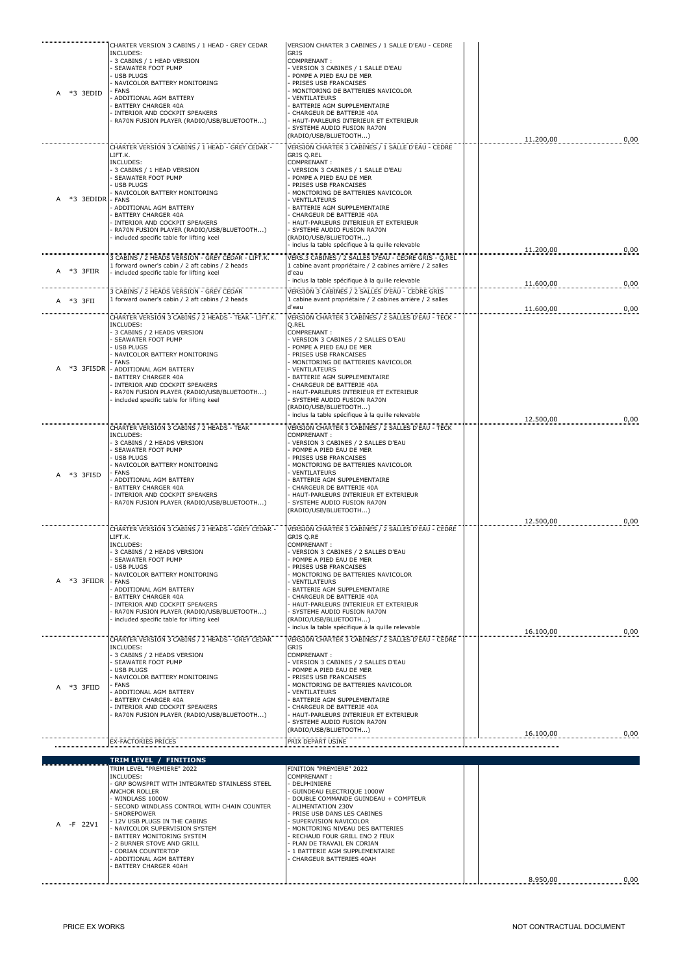| *3 3EDID<br>А | CHARTER VERSION 3 CABINS / 1 HEAD - GREY CEDAR<br>INCLUDES:<br>3 CABINS / 1 HEAD VERSION<br>SEAWATER FOOT PUMP<br><b>USB PLUGS</b><br>NAVICOLOR BATTERY MONITORING<br><b>FANS</b><br>ADDITIONAL AGM BATTERY<br><b>BATTERY CHARGER 40A</b><br>INTERIOR AND COCKPIT SPEAKERS<br>RA70N FUSION PLAYER (RADIO/USB/BLUETOOTH)                                                            | VERSION CHARTER 3 CABINES / 1 SALLE D'EAU - CEDRE<br>GRIS<br>COMPRENANT:<br>VERSION 3 CABINES / 1 SALLE D'EAU<br>POMPE A PIED EAU DE MER<br>PRISES USB FRANCAISES<br>MONITORING DE BATTERIES NAVICOLOR<br>VENTILATEURS<br>BATTERIE AGM SUPPLEMENTAIRE<br>CHARGEUR DE BATTERIE 40A<br>HAUT-PARLEURS INTERIEUR ET EXTERIEUR<br>SYSTEME AUDIO FUSION RA70N<br>(RADIO/USB/BLUETOOTH)                                                                    | 11.200,00              | 0,00         |
|---------------|------------------------------------------------------------------------------------------------------------------------------------------------------------------------------------------------------------------------------------------------------------------------------------------------------------------------------------------------------------------------------------|-----------------------------------------------------------------------------------------------------------------------------------------------------------------------------------------------------------------------------------------------------------------------------------------------------------------------------------------------------------------------------------------------------------------------------------------------------|------------------------|--------------|
| *3 3EDIDR     | CHARTER VERSION 3 CABINS / 1 HEAD - GREY CEDAR -<br>LIFT.K.<br>INCLUDES:<br>3 CABINS / 1 HEAD VERSION<br>SEAWATER FOOT PUMP<br><b>USB PLUGS</b><br>NAVICOLOR BATTERY MONITORING<br><b>FANS</b><br>ADDITIONAL AGM BATTERY<br>BATTERY CHARGER 40A<br>INTERIOR AND COCKPIT SPEAKERS<br>RA70N FUSION PLAYER (RADIO/USB/BLUETOOTH)<br>included specific table for lifting keel          | VERSION CHARTER 3 CABINES / 1 SALLE D'EAU - CEDRE<br><b>GRIS Q.REL</b><br>COMPRENANT:<br>VERSION 3 CABINES / 1 SALLE D'EAU<br>POMPE A PIED EAU DE MER<br>PRISES USB FRANCAISES<br>MONITORING DE BATTERIES NAVICOLOR<br>VENTILATEURS<br>BATTERIE AGM SUPPLEMENTAIRE<br>CHARGEUR DE BATTERIE 40A<br>HAUT-PARLEURS INTERIEUR ET EXTERIEUR<br>SYSTEME AUDIO FUSION RA70N<br>(RADIO/USB/BLUETOOTH)<br>- inclus la table spécifique à la quille relevable | 11.200,00              | 0,00         |
| *3 3FIIR<br>А | 3 CABINS / 2 HEADS VERSION - GREY CEDAR - LIFT.K.<br>1 forward owner's cabin / 2 aft cabins / 2 heads<br>included specific table for lifting keel                                                                                                                                                                                                                                  | VERS.3 CABINES / 2 SALLES D'EAU - CEDRE GRIS - Q.REL<br>1 cabine avant propriétaire / 2 cabines arrière / 2 salles<br>d'eau<br>- inclus la table spécifique à la quille relevable                                                                                                                                                                                                                                                                   | 11.600,00              | 0,00         |
| *3 3FII<br>A  | 3 CABINS / 2 HEADS VERSION - GREY CEDAR<br>1 forward owner's cabin / 2 aft cabins / 2 heads                                                                                                                                                                                                                                                                                        | VERSION 3 CABINES / 2 SALLES D'EAU - CEDRE GRIS<br>1 cabine avant propriétaire / 2 cabines arrière / 2 salles<br>d'eau                                                                                                                                                                                                                                                                                                                              |                        |              |
| *3 3FI5DR     | CHARTER VERSION 3 CABINS / 2 HEADS - TEAK - LIFT.K.<br>INCLUDES:<br>3 CABINS / 2 HEADS VERSION<br>SEAWATER FOOT PUMP<br><b>USB PLUGS</b><br>NAVICOLOR BATTERY MONITORING<br><b>FANS</b><br>ADDITIONAL AGM BATTERY<br><b>BATTERY CHARGER 40A</b><br>INTERIOR AND COCKPIT SPEAKERS<br>RA70N FUSION PLAYER (RADIO/USB/BLUETOOTH)<br>included specific table for lifting keel          | VERSION CHARTER 3 CABINES / 2 SALLES D'EAU - TECK -<br>Q.REL<br>COMPRENANT:<br>VERSION 3 CABINES / 2 SALLES D'EAU<br>POMPE A PIED EAU DE MER<br>PRISES USB FRANCAISES<br>MONITORING DE BATTERIES NAVICOLOR<br>VENTILATEURS<br>BATTERIE AGM SUPPLEMENTAIRE<br>CHARGEUR DE BATTERIE 40A<br>HAUT-PARLEURS INTERIEUR ET EXTERIEUR<br>SYSTEME AUDIO FUSION RA70N<br>(RADIO/USB/BLUETOOTH)<br>- inclus la table spécifique à la quille relevable          | 11.600,00<br>12.500,00 | 0,00<br>0,00 |
| *3 3FI5D      | CHARTER VERSION 3 CABINS / 2 HEADS - TEAK<br>INCLUDES:<br>3 CABINS / 2 HEADS VERSION<br>SEAWATER FOOT PUMP<br><b>USB PLUGS</b><br>NAVICOLOR BATTERY MONITORING<br><b>FANS</b><br>ADDITIONAL AGM BATTERY<br><b>BATTERY CHARGER 40A</b><br>INTERIOR AND COCKPIT SPEAKERS<br>RA70N FUSION PLAYER (RADIO/USB/BLUETOOTH)                                                                | VERSION CHARTER 3 CABINES / 2 SALLES D'EAU - TECK<br>COMPRENANT:<br>VERSION 3 CABINES / 2 SALLES D'EAU<br>POMPE A PIED EAU DE MER<br>PRISES USB FRANCAISES<br>MONITORING DE BATTERIES NAVICOLOR<br>VENTILATEURS<br>BATTERIE AGM SUPPLEMENTAIRE<br>CHARGEUR DE BATTERIE 40A<br>HAUT-PARLEURS INTERIEUR ET EXTERIEUR<br>SYSTEME AUDIO FUSION RA70N<br>(RADIO/USB/BLUETOOTH)                                                                           |                        |              |
| *3 3FIIDR     | CHARTER VERSION 3 CABINS / 2 HEADS - GREY CEDAR -<br>LIFT.K.<br>INCLUDES:<br>3 CABINS / 2 HEADS VERSION<br>SEAWATER FOOT PUMP<br><b>USB PLUGS</b><br>NAVICOLOR BATTERY MONITORING<br><b>FANS</b><br>ADDITIONAL AGM BATTERY<br><b>BATTERY CHARGER 40A</b><br>INTERIOR AND COCKPIT SPEAKERS<br>RA70N FUSION PLAYER (RADIO/USB/BLUETOOTH)<br>included specific table for lifting keel | VERSION CHARTER 3 CABINES / 2 SALLES D'EAU - CEDRE<br>GRIS Q.RE<br>COMPRENANT:<br>- VERSION 3 CABINES / 2 SALLES D'EAU<br>POMPE A PIED EAU DE MER<br>PRISES USB FRANCAISES<br>MONITORING DE BATTERIES NAVICOLOR<br>VENTILATEURS<br>BATTERIE AGM SUPPLEMENTAIRE<br>CHARGEUR DE BATTERIE 40A<br>HAUT-PARLEURS INTERIEUR ET EXTERIEUR<br>SYSTEME AUDIO FUSION RA70N<br>(RADIO/USB/BLUETOOTH)<br>- inclus la table spécifique à la quille relevable     | 12.500,00              | 0,00         |
| *3 3FIID<br>А | CHARTER VERSION 3 CABINS / 2 HEADS - GREY CEDAR<br>INCLUDES:<br>3 CABINS / 2 HEADS VERSION<br>SEAWATER FOOT PUMP<br><b>USB PLUGS</b><br>NAVICOLOR BATTERY MONITORING<br>FANS<br>ADDITIONAL AGM BATTERY<br><b>BATTERY CHARGER 40A</b><br>INTERIOR AND COCKPIT SPEAKERS<br>RA70N FUSION PLAYER (RADIO/USB/BLUETOOTH)                                                                 | VERSION CHARTER 3 CABINES / 2 SALLES D'EAU - CEDRE<br><b>GRIS</b><br>COMPRENANT:<br>- VERSION 3 CABINES / 2 SALLES D'EAU<br>POMPE A PIED EAU DE MER<br>PRISES USB FRANCAISES<br>MONITORING DE BATTERIES NAVICOLOR<br>VENTILATEURS<br>BATTERIE AGM SUPPLEMENTAIRE<br>CHARGEUR DE BATTERIE 40A<br>HAUT-PARLEURS INTERIEUR ET EXTERIEUR<br>SYSTEME AUDIO FUSION RA70N<br>(RADIO/USB/BLUETOOTH)                                                         | 16.100,00<br>16.100,00 | 0,00<br>0,00 |
|               | <b>EX-FACTORIES PRICES</b>                                                                                                                                                                                                                                                                                                                                                         | PRIX DEPART USINE                                                                                                                                                                                                                                                                                                                                                                                                                                   |                        |              |
|               | TRIM LEVEL / FINITIONS<br>TRIM LEVEL "PREMIERE" 2022                                                                                                                                                                                                                                                                                                                               | FINITION "PREMIERE" 2022                                                                                                                                                                                                                                                                                                                                                                                                                            |                        |              |
| A -F 22V1     | INCLUDES:<br>GRP BOWSPRIT WITH INTEGRATED STAINLESS STEEL<br>ANCHOR ROLLER<br>WINDLASS 1000W<br>SECOND WINDLASS CONTROL WITH CHAIN COUNTER<br>SHOREPOWER<br>12V USB PLUGS IN THE CABINS<br>NAVICOLOR SUPERVISION SYSTEM<br>BATTERY MONITORING SYSTEM<br>2 BURNER STOVE AND GRILL<br><b>CORIAN COUNTERTOP</b><br>ADDITIONAL AGM BATTERY<br>BATTERY CHARGER 40AH                     | COMPRENANT:<br>DELPHINIERE<br>GUINDEAU ELECTRIQUE 1000W<br>DOUBLE COMMANDE GUINDEAU + COMPTEUR<br>ALIMENTATION 230V<br>PRISE USB DANS LES CABINES<br>SUPERVISION NAVICOLOR<br>MONITORING NIVEAU DES BATTERIES<br>RECHAUD FOUR GRILL ENO 2 FEUX<br>PLAN DE TRAVAIL EN CORIAN<br>- 1 BATTERIE AGM SUPPLEMENTAIRE<br>CHARGEUR BATTERIES 40AH                                                                                                           |                        |              |
|               |                                                                                                                                                                                                                                                                                                                                                                                    |                                                                                                                                                                                                                                                                                                                                                                                                                                                     | 8.950,00               | 0,00         |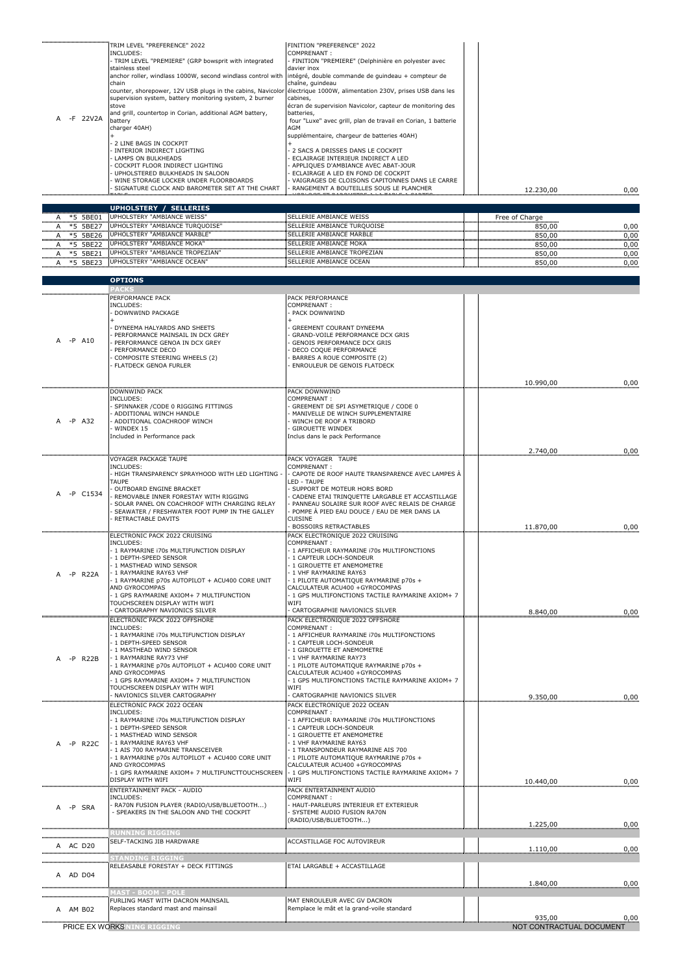| A -F 22V2A                | TRIM LEVEL "PREFERENCE" 2022<br>INCLUDES:<br>- TRIM LEVEL "PREMIERE" (GRP bowsprit with integrated<br>stainless steel<br>anchor roller, windlass 1000W, second windlass control with<br>chain<br>counter, shorepower, 12V USB plugs in the cabins, Navicolor<br>supervision system, battery monitoring system, 2 burner<br>stove<br>and grill, countertop in Corian, additional AGM battery,<br>battery<br>charger 40AH)<br>2 LINE BAGS IN COCKPIT<br>INTERIOR INDIRECT LIGHTING<br>LAMPS ON BULKHEADS<br>COCKPIT FLOOR INDIRECT LIGHTING<br>UPHOLSTERED BULKHEADS IN SALOON<br>WINE STORAGE LOCKER UNDER FLOORBOARDS<br>SIGNATURE CLOCK AND BAROMETER SET AT THE CHART | FINITION "PREFERENCE" 2022<br>COMPRENANT:<br>FINITION "PREMIERE" (Delphinière en polyester avec<br>davier inox<br>intégré, double commande de guindeau + compteur de<br>chaîne, quindeau<br>électrique 1000W, alimentation 230V, prises USB dans les<br>cabines,<br>écran de supervision Navicolor, capteur de monitoring des<br>batteries,<br>four "Luxe" avec grill, plan de travail en Corian, 1 batterie<br>AGM<br>supplémentaire, chargeur de batteries 40AH)<br>2 SACS A DRISSES DANS LE COCKPIT<br>ECLAIRAGE INTERIEUR INDIRECT A LED<br>APPLIQUES D'AMBIANCE AVEC ABAT-JOUR<br>ECLAIRAGE A LED EN FOND DE COCKPIT<br>VAIGRAGES DE CLOISONS CAPITONNES DANS LE CARRE<br>RANGEMENT A BOUTEILLES SOUS LE PLANCHER<br>രമ്പകരത്തിരകരക്ഷത്തേയ്ക്ക് പരത്തര | 12.230,00                | 0,00         |
|---------------------------|-------------------------------------------------------------------------------------------------------------------------------------------------------------------------------------------------------------------------------------------------------------------------------------------------------------------------------------------------------------------------------------------------------------------------------------------------------------------------------------------------------------------------------------------------------------------------------------------------------------------------------------------------------------------------|-------------------------------------------------------------------------------------------------------------------------------------------------------------------------------------------------------------------------------------------------------------------------------------------------------------------------------------------------------------------------------------------------------------------------------------------------------------------------------------------------------------------------------------------------------------------------------------------------------------------------------------------------------------------------------------------------------------------------------------------------------------|--------------------------|--------------|
| *5 5BE01<br>Α             | <b>UPHOLSTERY / SELLERIES</b><br>UPHOLSTERY "AMBIANCE WEISS"                                                                                                                                                                                                                                                                                                                                                                                                                                                                                                                                                                                                            | SELLERIE AMBIANCE WEISS                                                                                                                                                                                                                                                                                                                                                                                                                                                                                                                                                                                                                                                                                                                                     | Free of Charge           |              |
| *5 5BE27<br>A<br>*5 5BE26 | UPHOLSTERY "AMBIANCE TURQUOISE"<br>UPHOLSTERY "AMBIANCE MARBLE"                                                                                                                                                                                                                                                                                                                                                                                                                                                                                                                                                                                                         | SELLERIE AMBIANCE TURQUOISE<br>SELLERIE AMBIANCE MARBLE                                                                                                                                                                                                                                                                                                                                                                                                                                                                                                                                                                                                                                                                                                     | 850,00<br>850,00         | 0,00<br>0,00 |
| *5 5BE22<br>A<br>*5 5BE21 | UPHOLSTERY "AMBIANCE MOKA"<br>UPHOLSTERY "AMBIANCE TROPEZIAN"                                                                                                                                                                                                                                                                                                                                                                                                                                                                                                                                                                                                           | <b>SELLERIE AMBIANCE MOKA</b><br>SELLERIE AMBIANCE TROPEZIAN                                                                                                                                                                                                                                                                                                                                                                                                                                                                                                                                                                                                                                                                                                | 850,00                   | 0,00         |
| A *5 5BE23                | UPHOLSTERY "AMBIANCE OCEAN"                                                                                                                                                                                                                                                                                                                                                                                                                                                                                                                                                                                                                                             | SELLERIE AMBIANCE OCEAN                                                                                                                                                                                                                                                                                                                                                                                                                                                                                                                                                                                                                                                                                                                                     | 850,00<br>850,00         | 0,00<br>0,00 |
|                           | <b>OPTIONS</b>                                                                                                                                                                                                                                                                                                                                                                                                                                                                                                                                                                                                                                                          |                                                                                                                                                                                                                                                                                                                                                                                                                                                                                                                                                                                                                                                                                                                                                             |                          |              |
|                           | ACKS                                                                                                                                                                                                                                                                                                                                                                                                                                                                                                                                                                                                                                                                    |                                                                                                                                                                                                                                                                                                                                                                                                                                                                                                                                                                                                                                                                                                                                                             |                          |              |
|                           | PERFORMANCE PACK<br>INCLUDES:                                                                                                                                                                                                                                                                                                                                                                                                                                                                                                                                                                                                                                           | PACK PERFORMANCE<br>COMPRENANT:                                                                                                                                                                                                                                                                                                                                                                                                                                                                                                                                                                                                                                                                                                                             |                          |              |
|                           | DOWNWIND PACKAGE                                                                                                                                                                                                                                                                                                                                                                                                                                                                                                                                                                                                                                                        | PACK DOWNWIND                                                                                                                                                                                                                                                                                                                                                                                                                                                                                                                                                                                                                                                                                                                                               |                          |              |
|                           | DYNEEMA HALYARDS AND SHEETS<br>PERFORMANCE MAINSAIL IN DCX GREY                                                                                                                                                                                                                                                                                                                                                                                                                                                                                                                                                                                                         | <b>GREEMENT COURANT DYNEEMA</b><br>GRAND-VOILE PERFORMANCE DCX GRIS                                                                                                                                                                                                                                                                                                                                                                                                                                                                                                                                                                                                                                                                                         |                          |              |
| $-P$<br>A10               | PERFORMANCE GENOA IN DCX GREY<br>PERFORMANCE DECO                                                                                                                                                                                                                                                                                                                                                                                                                                                                                                                                                                                                                       | GENOIS PERFORMANCE DCX GRIS<br>DECO COQUE PERFORMANCE                                                                                                                                                                                                                                                                                                                                                                                                                                                                                                                                                                                                                                                                                                       |                          |              |
|                           | COMPOSITE STEERING WHEELS (2)<br><b>FLATDECK GENOA FURLER</b>                                                                                                                                                                                                                                                                                                                                                                                                                                                                                                                                                                                                           | BARRES A ROUE COMPOSITE (2)<br>ENROULEUR DE GENOIS FLATDECK                                                                                                                                                                                                                                                                                                                                                                                                                                                                                                                                                                                                                                                                                                 |                          |              |
|                           |                                                                                                                                                                                                                                                                                                                                                                                                                                                                                                                                                                                                                                                                         |                                                                                                                                                                                                                                                                                                                                                                                                                                                                                                                                                                                                                                                                                                                                                             | 10.990,00                | 0,00         |
|                           | <b>DOWNWIND PACK</b>                                                                                                                                                                                                                                                                                                                                                                                                                                                                                                                                                                                                                                                    | <b>PACK DOWNWIND</b>                                                                                                                                                                                                                                                                                                                                                                                                                                                                                                                                                                                                                                                                                                                                        |                          |              |
|                           | INCLUDES:<br>SPINNAKER / CODE 0 RIGGING FITTINGS                                                                                                                                                                                                                                                                                                                                                                                                                                                                                                                                                                                                                        | COMPRENANT :<br>GREEMENT DE SPI ASYMETRIQUE / CODE 0                                                                                                                                                                                                                                                                                                                                                                                                                                                                                                                                                                                                                                                                                                        |                          |              |
| -P A32<br>A               | ADDITIONAL WINCH HANDLE<br>ADDITIONAL COACHROOF WINCH                                                                                                                                                                                                                                                                                                                                                                                                                                                                                                                                                                                                                   | MANIVELLE DE WINCH SUPPLEMENTAIRE<br>WINCH DE ROOF A TRIBORD                                                                                                                                                                                                                                                                                                                                                                                                                                                                                                                                                                                                                                                                                                |                          |              |
|                           | WINDEX 15<br>Included in Performance pack                                                                                                                                                                                                                                                                                                                                                                                                                                                                                                                                                                                                                               | <b>GIROUETTE WINDEX</b><br>Inclus dans le pack Performance                                                                                                                                                                                                                                                                                                                                                                                                                                                                                                                                                                                                                                                                                                  |                          |              |
|                           |                                                                                                                                                                                                                                                                                                                                                                                                                                                                                                                                                                                                                                                                         |                                                                                                                                                                                                                                                                                                                                                                                                                                                                                                                                                                                                                                                                                                                                                             | 2.740,00                 | 0,00         |
|                           | VOYAGER PACKAGE TAUPE<br>INCLUDES:                                                                                                                                                                                                                                                                                                                                                                                                                                                                                                                                                                                                                                      | PACK VOYAGER TAUPE<br>COMPRENANT:                                                                                                                                                                                                                                                                                                                                                                                                                                                                                                                                                                                                                                                                                                                           |                          |              |
|                           | - HIGH TRANSPARENCY SPRAYHOOD WITH LED LIGHTING<br>TAUPE                                                                                                                                                                                                                                                                                                                                                                                                                                                                                                                                                                                                                | CAPOTE DE ROOF HAUTE TRANSPARENCE AVEC LAMPES À<br>LED - TAUPE                                                                                                                                                                                                                                                                                                                                                                                                                                                                                                                                                                                                                                                                                              |                          |              |
| $-P$<br>C1534             | OUTBOARD ENGINE BRACKET<br>REMOVABLE INNER FORESTAY WITH RIGGING                                                                                                                                                                                                                                                                                                                                                                                                                                                                                                                                                                                                        | SUPPORT DE MOTEUR HORS BORD<br>CADENE ETAI TRINQUETTE LARGABLE ET ACCASTILLAGE                                                                                                                                                                                                                                                                                                                                                                                                                                                                                                                                                                                                                                                                              |                          |              |
|                           | SOLAR PANEL ON COACHROOF WITH CHARGING RELAY<br>SEAWATER / FRESHWATER FOOT PUMP IN THE GALLEY                                                                                                                                                                                                                                                                                                                                                                                                                                                                                                                                                                           | PANNEAU SOLAIRE SUR ROOF AVEC RELAIS DE CHARGE<br>POMPE À PIED EAU DOUCE / EAU DE MER DANS LA                                                                                                                                                                                                                                                                                                                                                                                                                                                                                                                                                                                                                                                               |                          |              |
|                           | RETRACTABLE DAVITS                                                                                                                                                                                                                                                                                                                                                                                                                                                                                                                                                                                                                                                      | <b>CUISINE</b><br><b>BOSSOIRS RETRACTABLES</b>                                                                                                                                                                                                                                                                                                                                                                                                                                                                                                                                                                                                                                                                                                              | 11.870,00                | 0,00         |
|                           | ELECTRONIC PACK 2022 CRUISING                                                                                                                                                                                                                                                                                                                                                                                                                                                                                                                                                                                                                                           | PACK ELECTRONIQUE 2022 CRUISING<br>COMPRENANT:                                                                                                                                                                                                                                                                                                                                                                                                                                                                                                                                                                                                                                                                                                              |                          |              |
|                           | INCLUDES:<br>- 1 RAYMARINE 170s MULTIFUNCTION DISPLAY                                                                                                                                                                                                                                                                                                                                                                                                                                                                                                                                                                                                                   | - 1 AFFICHEUR RAYMARINE 170s MULTIFONCTIONS                                                                                                                                                                                                                                                                                                                                                                                                                                                                                                                                                                                                                                                                                                                 |                          |              |
|                           | - 1 DEPTH-SPEED SENSOR<br>1 MASTHEAD WIND SENSOR                                                                                                                                                                                                                                                                                                                                                                                                                                                                                                                                                                                                                        | - 1 CAPTEUR LOCH-SONDEUR<br>1 GIROUETTE ET ANEMOMETRE                                                                                                                                                                                                                                                                                                                                                                                                                                                                                                                                                                                                                                                                                                       |                          |              |
| -P R22A                   | - 1 RAYMARINE RAY63 VHF<br>- 1 RAYMARINE p70s AUTOPILOT + ACU400 CORE UNIT                                                                                                                                                                                                                                                                                                                                                                                                                                                                                                                                                                                              | 1 VHF RAYMARINE RAY63<br>- 1 PILOTE AUTOMATIQUE RAYMARINE p70s +                                                                                                                                                                                                                                                                                                                                                                                                                                                                                                                                                                                                                                                                                            |                          |              |
|                           | AND GYROCOMPAS<br>- 1 GPS RAYMARINE AXIOM+ 7 MULTIFUNCTION                                                                                                                                                                                                                                                                                                                                                                                                                                                                                                                                                                                                              | CALCULATEUR ACU400 +GYROCOMPAS<br>1 GPS MULTIFONCTIONS TACTILE RAYMARINE AXIOM+ 7                                                                                                                                                                                                                                                                                                                                                                                                                                                                                                                                                                                                                                                                           |                          |              |
|                           | TOUCHSCREEN DISPLAY WITH WIFI<br>CARTOGRAPHY NAVIONICS SILVER                                                                                                                                                                                                                                                                                                                                                                                                                                                                                                                                                                                                           | WIFI<br>CARTOGRAPHIE NAVIONICS SILVER                                                                                                                                                                                                                                                                                                                                                                                                                                                                                                                                                                                                                                                                                                                       | 8.840,00                 | 0,00         |
|                           | ELECTRONIC PACK 2022 OFFSHORE<br>INCLUDES:                                                                                                                                                                                                                                                                                                                                                                                                                                                                                                                                                                                                                              | PACK ELECTRONIQUE 2022 OFFSHORE<br>COMPRENANT:                                                                                                                                                                                                                                                                                                                                                                                                                                                                                                                                                                                                                                                                                                              |                          |              |
|                           | - 1 RAYMARINE i70s MULTIFUNCTION DISPLAY<br>- 1 DEPTH-SPEED SENSOR                                                                                                                                                                                                                                                                                                                                                                                                                                                                                                                                                                                                      | 1 AFFICHEUR RAYMARINE 170s MULTIFONCTIONS<br>1 CAPTEUR LOCH-SONDEUR                                                                                                                                                                                                                                                                                                                                                                                                                                                                                                                                                                                                                                                                                         |                          |              |
|                           | - 1 MASTHEAD WIND SENSOR<br>- 1 RAYMARINE RAY73 VHF                                                                                                                                                                                                                                                                                                                                                                                                                                                                                                                                                                                                                     | 1 GIROUETTE ET ANEMOMETRE<br>1 VHF RAYMARINE RAY73                                                                                                                                                                                                                                                                                                                                                                                                                                                                                                                                                                                                                                                                                                          |                          |              |
| $-P$ R22B                 | - 1 RAYMARINE p70s AUTOPILOT + ACU400 CORE UNIT                                                                                                                                                                                                                                                                                                                                                                                                                                                                                                                                                                                                                         | - 1 PILOTE AUTOMATIQUE RAYMARINE p70s +                                                                                                                                                                                                                                                                                                                                                                                                                                                                                                                                                                                                                                                                                                                     |                          |              |
|                           | AND GYROCOMPAS<br>1 GPS RAYMARINE AXIOM+ 7 MULTIFUNCTION                                                                                                                                                                                                                                                                                                                                                                                                                                                                                                                                                                                                                | CALCULATEUR ACU400 +GYROCOMPAS<br>1 GPS MULTIFONCTIONS TACTILE RAYMARINE AXIOM+ 7                                                                                                                                                                                                                                                                                                                                                                                                                                                                                                                                                                                                                                                                           |                          |              |
|                           | TOUCHSCREEN DISPLAY WITH WIFI<br>NAVIONICS SILVER CARTOGRAPHY                                                                                                                                                                                                                                                                                                                                                                                                                                                                                                                                                                                                           | WIFI<br>CARTOGRAPHIE NAVIONICS SILVER                                                                                                                                                                                                                                                                                                                                                                                                                                                                                                                                                                                                                                                                                                                       | 9.350,00                 | 0,00         |
|                           | ELECTRONIC PACK 2022 OCEAN<br>INCLUDES:                                                                                                                                                                                                                                                                                                                                                                                                                                                                                                                                                                                                                                 | PACK ELECTRONIQUE 2022 OCEAN<br>COMPRENANT:                                                                                                                                                                                                                                                                                                                                                                                                                                                                                                                                                                                                                                                                                                                 |                          |              |
|                           | - 1 RAYMARINE 170s MULTIFUNCTION DISPLAY<br>- 1 DEPTH-SPEED SENSOR                                                                                                                                                                                                                                                                                                                                                                                                                                                                                                                                                                                                      | - 1 AFFICHEUR RAYMARINE 170s MULTIFONCTIONS<br>1 CAPTEUR LOCH-SONDEUR                                                                                                                                                                                                                                                                                                                                                                                                                                                                                                                                                                                                                                                                                       |                          |              |
| $-P$<br><b>R22C</b>       | - 1 MASTHEAD WIND SENSOR<br>- 1 RAYMARINE RAY63 VHF                                                                                                                                                                                                                                                                                                                                                                                                                                                                                                                                                                                                                     | 1 GIROUETTE ET ANEMOMETRE<br>1 VHF RAYMARINE RAY63                                                                                                                                                                                                                                                                                                                                                                                                                                                                                                                                                                                                                                                                                                          |                          |              |
|                           | - 1 AIS 700 RAYMARINE TRANSCEIVER<br>- 1 RAYMARINE p70s AUTOPILOT + ACU400 CORE UNIT                                                                                                                                                                                                                                                                                                                                                                                                                                                                                                                                                                                    | 1 TRANSPONDEUR RAYMARINE AIS 700<br>1 PILOTE AUTOMATIQUE RAYMARINE p70s +                                                                                                                                                                                                                                                                                                                                                                                                                                                                                                                                                                                                                                                                                   |                          |              |
|                           | AND GYROCOMPAS<br>- 1 GPS RAYMARINE AXIOM+ 7 MULTIFUNCTTOUCHSCREEN                                                                                                                                                                                                                                                                                                                                                                                                                                                                                                                                                                                                      | CALCULATEUR ACU400 +GYROCOMPAS<br>- 1 GPS MULTIFONCTIONS TACTILE RAYMARINE AXIOM+ 7                                                                                                                                                                                                                                                                                                                                                                                                                                                                                                                                                                                                                                                                         |                          |              |
|                           | DISPLAY WITH WIFI                                                                                                                                                                                                                                                                                                                                                                                                                                                                                                                                                                                                                                                       | WIFI                                                                                                                                                                                                                                                                                                                                                                                                                                                                                                                                                                                                                                                                                                                                                        | 10.440,00                | 0,00         |
|                           | ENTERTAINMENT PACK - AUDIO<br>INCLUDES:                                                                                                                                                                                                                                                                                                                                                                                                                                                                                                                                                                                                                                 | PACK ENTERTAINMENT AUDIO<br>COMPRENANT:                                                                                                                                                                                                                                                                                                                                                                                                                                                                                                                                                                                                                                                                                                                     |                          |              |
| -P SRA                    | RA70N FUSION PLAYER (RADIO/USB/BLUETOOTH)<br>- SPEAKERS IN THE SALOON AND THE COCKPIT                                                                                                                                                                                                                                                                                                                                                                                                                                                                                                                                                                                   | HAUT-PARLEURS INTERIEUR ET EXTERIEUR<br>SYSTEME AUDIO FUSION RA70N                                                                                                                                                                                                                                                                                                                                                                                                                                                                                                                                                                                                                                                                                          |                          |              |
|                           |                                                                                                                                                                                                                                                                                                                                                                                                                                                                                                                                                                                                                                                                         | (RADIO/USB/BLUETOOTH)                                                                                                                                                                                                                                                                                                                                                                                                                                                                                                                                                                                                                                                                                                                                       | 1.225,00                 | 0,00         |
| A AC D20                  | <b>UNNING RIGGING</b><br>SELF-TACKING JIB HARDWARE                                                                                                                                                                                                                                                                                                                                                                                                                                                                                                                                                                                                                      | ACCASTILLAGE FOC AUTOVIREUR                                                                                                                                                                                                                                                                                                                                                                                                                                                                                                                                                                                                                                                                                                                                 |                          |              |
|                           | STANDING RIGGING                                                                                                                                                                                                                                                                                                                                                                                                                                                                                                                                                                                                                                                        |                                                                                                                                                                                                                                                                                                                                                                                                                                                                                                                                                                                                                                                                                                                                                             | 1.110,00                 | 0,00         |
| A AD D04                  | RELEASABLE FORESTAY + DECK FITTINGS                                                                                                                                                                                                                                                                                                                                                                                                                                                                                                                                                                                                                                     | ETAI LARGABLE + ACCASTILLAGE                                                                                                                                                                                                                                                                                                                                                                                                                                                                                                                                                                                                                                                                                                                                |                          |              |
|                           |                                                                                                                                                                                                                                                                                                                                                                                                                                                                                                                                                                                                                                                                         |                                                                                                                                                                                                                                                                                                                                                                                                                                                                                                                                                                                                                                                                                                                                                             | 1.840,00                 | 0,00         |
|                           | AST - BOOM - POLE<br>FURLING MAST WITH DACRON MAINSAIL                                                                                                                                                                                                                                                                                                                                                                                                                                                                                                                                                                                                                  | MAT ENROULEUR AVEC GV DACRON                                                                                                                                                                                                                                                                                                                                                                                                                                                                                                                                                                                                                                                                                                                                |                          |              |
| A AM B02                  | Replaces standard mast and mainsail                                                                                                                                                                                                                                                                                                                                                                                                                                                                                                                                                                                                                                     | Remplace le mât et la grand-voile standard                                                                                                                                                                                                                                                                                                                                                                                                                                                                                                                                                                                                                                                                                                                  | 935,00                   | 0,00         |
| <b>PRICE EX WORKS NOT</b> |                                                                                                                                                                                                                                                                                                                                                                                                                                                                                                                                                                                                                                                                         |                                                                                                                                                                                                                                                                                                                                                                                                                                                                                                                                                                                                                                                                                                                                                             | NOT CONTRACTUAL DOCUMENT |              |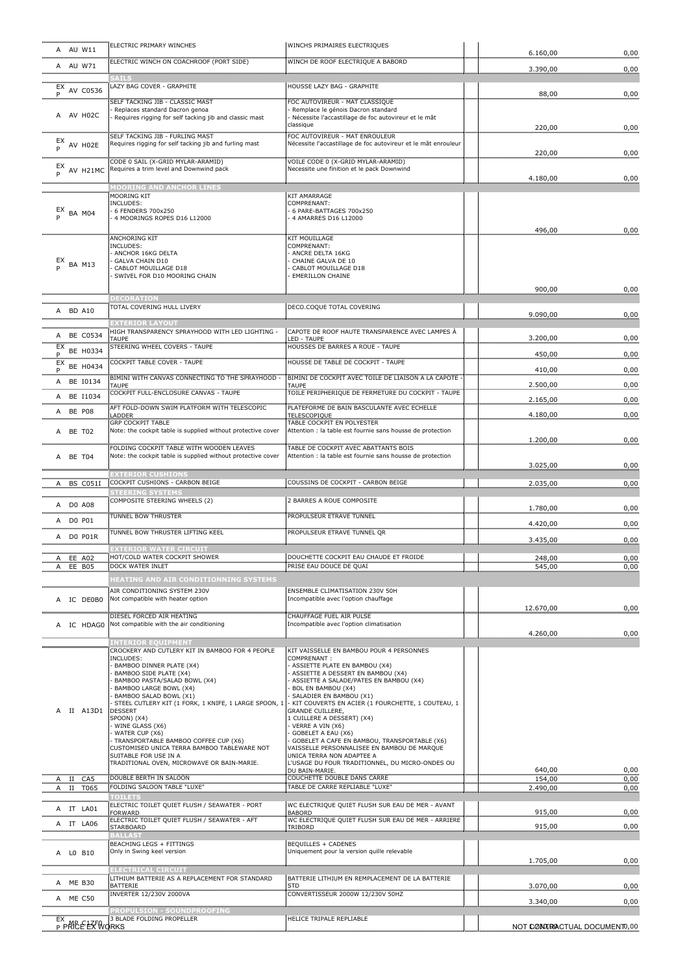| A AU W11                         | ELECTRIC PRIMARY WINCHES                                                                                 | WINCHS PRIMAIRES ELECTRIQUES                                                                       |                  |              |
|----------------------------------|----------------------------------------------------------------------------------------------------------|----------------------------------------------------------------------------------------------------|------------------|--------------|
| <br>A AU W71                     | ELECTRIC WINCH ON COACHROOF (PORT SIDE)                                                                  | WINCH DE ROOF ELECTRIQUE A BABORD                                                                  | 6.160,00         | 0,00         |
|                                  | <br>SAILS                                                                                                |                                                                                                    | 3.390,00         | 0,00         |
| $E$ <sup>EX</sup> AV C0536       | LAZY BAG COVER - GRAPHITE                                                                                | HOUSSE LAZY BAG - GRAPHITE                                                                         | 88,00            | 0,00         |
| <b>P</b>                         | SELF TACKING JIB - CLASSIC MAST                                                                          | OC AUTOVIREUR - MAT CLASSIOUE                                                                      |                  |              |
| A AV H02C                        | Replaces standard Dacron genoa<br>Requires rigging for self tacking jib and classic mast                 | Remplace le génois Dacron standard<br>Nécessite l'accastillage de foc autovireur et le mât         |                  |              |
|                                  | SELF TACKING JIB - FURLING MAST                                                                          | classique<br>FOC AUTOVIREUR - MAT ENROULEUR                                                        | 220,00           | 0,00         |
| $E$ X AV H02E                    | Requires rigging for self tacking jib and furling mast                                                   | Nécessite l'accastillage de foc autovireur et le mât enrouleur                                     |                  |              |
|                                  | CODE 0 SAIL (X-GRID MYLAR-ARAMID)                                                                        | VOILE CODE 0 (X-GRID MYLAR-ARAMID)                                                                 | 220,00           | 0,00         |
| $_{P}$ EX AV H21MC               | Requires a trim level and Downwind pack                                                                  | Necessite une finition et le pack Downwind                                                         |                  |              |
|                                  | <b>IOORING AND ANCHOR LINES</b>                                                                          |                                                                                                    | 4.180,00         | 0,00         |
|                                  | <b>MOORING KIT</b><br>INCLUDES:                                                                          | KIT AMARRAGE<br>COMPRENANT:                                                                        |                  |              |
| $_{\text{p}}^{\text{EX}}$ BA M04 | 6 FENDERS 700x250                                                                                        | 6 PARE-BATTAGES 700x250                                                                            |                  |              |
|                                  | 4 MOORINGS ROPES D16 L12000                                                                              | 4 AMARRES D16 L12000                                                                               | 496,00           | 0,00         |
|                                  | ANCHORING KIT                                                                                            | KIT MOUILLAGE                                                                                      |                  |              |
|                                  | INCLUDES:<br>ANCHOR 16KG DELTA                                                                           | COMPRENANT:<br>ANCRE DELTA 16KG                                                                    |                  |              |
| $_{\text{D}}^{\text{EX}}$ BA M13 | GALVA CHAIN D10<br>CABLOT MOUILLAGE D18                                                                  | CHAINE GALVA DE 10<br>CABLOT MOUILLAGE D18                                                         |                  |              |
|                                  | SWIVEL FOR D10 MOORING CHAIN                                                                             | <b>EMERILLON CHAINE</b>                                                                            |                  |              |
|                                  | <b>DECORATION</b>                                                                                        |                                                                                                    | 900,00           | 0,00         |
| A BD A10                         | TOTAL COVERING HULL LIVERY                                                                               | DECO.COQUE TOTAL COVERING                                                                          |                  |              |
|                                  | <b>XTERIOR LAYOU1</b>                                                                                    |                                                                                                    | 9.090,00         | 0,00         |
| A BE C0534                       | HIGH TRANSPARENCY SPRAYHOOD WITH LED LIGHTING                                                            | CAPOTE DE ROOF HAUTE TRANSPARENCE AVEC LAMPES À                                                    |                  |              |
| $EX$ BE H0334                    | TAUPF<br><b>STEERING WHEEL COVERS - TAUPE</b>                                                            | ED - TAUPE<br>HOUSSES DE BARRES A ROUE - TAUPE                                                     | 3.200,00         | 0,00         |
| .<br>$EX$ BE H0434               | COCKPIT TABLE COVER - TAUPE                                                                              | HOUSSE DE TABLE DE COCKPIT - TAUPE                                                                 | 450,00           | 0,00         |
|                                  | BIMINI WITH CANVAS CONNECTING TO THE SPRAYHOOD                                                           | BIMINI DE COCKPIT AVEC TOILE DE LIAISON A LA CAPOTE                                                | 410,00           | 0,00         |
| A BE I0134                       | TAUPE                                                                                                    |                                                                                                    | 2.500,00         | 0,00         |
| A BE I1034                       | COCKPIT FULL-ENCLOSURE CANVAS - TAUPE                                                                    | TOILE PERIPHERIQUE DE FERMETURE DU COCKPIT - TAUPE                                                 | 2.165,00         | 0,00         |
| A BE P08                         | AFT FOLD-DOWN SWIM PLATFORM WITH TELESCOPIC<br>ADDER                                                     | PLATEFORME DE BAIN BASCULANTE AVEC ECHELLE<br>TELESCOPIQUE                                         | 4.180,00         | 0,00         |
| A BE T02                         | <b>GRP COCKPIT TABLE</b><br>Note: the cockpit table is supplied without protective cover                 | TABLE COCKPIT EN POLYESTER<br>Attention : la table est fournie sans housse de protection           |                  |              |
|                                  |                                                                                                          |                                                                                                    | 1.200,00         | 0,00         |
| A BE T04                         | FOLDING COCKPIT TABLE WITH WOODEN LEAVES<br>Note: the cockpit table is supplied without protective cover | TABLE DE COCKPIT AVEC ABATTANTS BOIS<br>Attention : la table est fournie sans housse de protection |                  |              |
|                                  |                                                                                                          |                                                                                                    | 3.025,00         | 0,00         |
| A BS C051I                       | EXTERIOR CUSHIONS<br>COCKPIT CUSHIONS - CARBON BEIGE                                                     | COUSSINS DE COCKPIT - CARBON BEIGE                                                                 | 2.035,00         | 0,00         |
|                                  | <b>STEERING SYSTEMS</b>                                                                                  |                                                                                                    |                  |              |
| A DO A08                         | COMPOSITE STEERING WHEELS (2)                                                                            | 2 BARRES A ROUE COMPOSITE                                                                          | 1.780,00         | 0,00         |
| A DO P01                         | TUNNEL BOW THRUSTER                                                                                      | PROPULSEUR ETRAVE TUNNEL                                                                           | 4.420,00         | 0,00         |
|                                  |                                                                                                          |                                                                                                    |                  |              |
| A D0 P01R                        | TUNNEL BOW THRUSTER LIFTING KEEL                                                                         | PROPULSEUR ETRAVE TUNNEL QR                                                                        |                  |              |
|                                  | <b>EXTERIOR WATER CIRCUIT</b>                                                                            |                                                                                                    | 3.435,00         | 0,00         |
| A EE A02                         | HOT/COLD WATER COCKPIT SHOWER                                                                            | DOUCHETTE COCKPIT EAU CHAUDE ET FROIDE                                                             | 248.00           | 0,00         |
| A EE B05                         | DOCK WATER INLET                                                                                         | PRISE EAU DOUCE DE QUAI                                                                            | 545,00           | 0,00         |
|                                  | HEATING AND AIR CONDITIONNING SYSTEMS<br>AIR CONDITIONING SYSTEM 230V                                    | ENSEMBLE CLIMATISATION 230V 50H                                                                    |                  |              |
| A IC DE0B0                       | Not compatible with heater option                                                                        | Incompatible avec l'option chauffage                                                               |                  |              |
|                                  | DIESEL FORCED AIR HEATING                                                                                | CHAUFFAGE FUEL AIR PULSE                                                                           | 12.670,00        | 0,00         |
| A IC HDAG0                       | Not compatible with the air conditioning                                                                 | Incompatible avec l'option climatisation                                                           |                  |              |
|                                  | <b>WITERIOR EQUIPMENT</b>                                                                                |                                                                                                    | 4.260,00         | 0,00         |
|                                  | CROCKERY AND CUTLERY KIT IN BAMBOO FOR 4 PEOPLE<br>INCLUDES:                                             | KIT VAISSELLE EN BAMBOU POUR 4 PERSONNES<br>COMPRENANT:                                            |                  |              |
|                                  | BAMBOO DINNER PLATE (X4)<br>BAMBOO SIDE PLATE (X4)                                                       | - ASSIETTE PLATE EN BAMBOU (X4)<br>ASSIETTE A DESSERT EN BAMBOU (X4)                               |                  |              |
|                                  | BAMBOO PASTA/SALAD BOWL (X4)                                                                             | ASSIETTE A SALADE/PATES EN BAMBOU (X4)                                                             |                  |              |
|                                  | BAMBOO LARGE BOWL (X4)<br>BAMBOO SALAD BOWL (X1)                                                         | BOL EN BAMBOU (X4)<br>SALADIER EN BAMBOU (X1)                                                      |                  |              |
| II A13D1<br>A                    | STEEL CUTLERY KIT (1 FORK, 1 KNIFE, 1 LARGE SPOON, 1<br><b>DESSERT</b>                                   | - KIT COUVERTS EN ACIER (1 FOURCHETTE, 1 COUTEAU, 1<br>GRANDE CUILLERE,                            |                  |              |
|                                  | SPOON) (X4)<br>WINE GLASS (X6)                                                                           | 1 CUILLERE A DESSERT) (X4)<br>VERRE A VIN (X6)                                                     |                  |              |
|                                  | WATER CUP (X6)<br>TRANSPORTABLE BAMBOO COFFEE CUP (X6)                                                   | GOBELET A EAU (X6)                                                                                 |                  |              |
|                                  | CUSTOMISED UNICA TERRA BAMBOO TABLEWARE NOT                                                              | GOBELET A CAFE EN BAMBOU, TRANSPORTABLE (X6)<br>VAISSELLE PERSONNALISEE EN BAMBOU DE MARQUE        |                  |              |
|                                  | SUITABLE FOR USE IN A<br>TRADITIONAL OVEN, MICROWAVE OR BAIN-MARIE.                                      | UNICA TERRA NON ADAPTEE A<br>L'USAGE DU FOUR TRADITIONNEL, DU MICRO-ONDES OU                       |                  |              |
| A II CA5                         | DOUBLE BERTH IN SALOON                                                                                   | DU BAIN-MARIE<br>COUCHETTE DOUBLE DANS CARRE                                                       | 640,00<br>154,00 | 0,00<br>0,00 |
| A II T065                        | FOLDING SALOON TABLE "LUXE"                                                                              | TABLE DE CARRE REPLIABLE "LUXE"                                                                    | 2.490,00         | 0,00         |
| IT LA01<br>A                     | $\epsilon$ ) if $\epsilon$ is a set<br>ELECTRIC TOILET QUIET FLUSH / SEAWATER - PORT                     | WC ELECTRIQUE QUIET FLUSH SUR EAU DE MER - AVANT                                                   |                  |              |
| A                                | FORWARD<br>ELECTRIC TOILET QUIET FLUSH / SEAWATER - AFT                                                  | <b>BABORD</b><br>WC ELECTRIQUE QUIET FLUSH SUR EAU DE MER - ARRIERE                                | 915,00           | 0,00         |
| IT LA06                          | <b>STARBOARD</b>                                                                                         | <b>TRIBORD</b>                                                                                     | 915,00           | 0,00         |
|                                  | <b>BEACHING LEGS + FITTINGS</b>                                                                          | <b>BEQUILLES + CADENES</b>                                                                         |                  |              |
| LO B10<br>A                      | Only in Swing keel version                                                                               | Uniquement pour la version quille relevable                                                        | 1.705,00         | 0,00         |
|                                  | <b>ELECTRICAL CIRCUIT</b>                                                                                |                                                                                                    |                  |              |
| A ME B30<br>                     | LITHIUM BATTERIE AS A REPLACEMENT FOR STANDARD<br>BATTERIE                                               | BATTERIE LITHIUM EN REMPLACEMENT DE LA BATTERIE<br><b>STD</b>                                      | 3.070,00         | 0,00         |
| A ME C50                         | <b>INVERTER 12/230V 2000VA</b>                                                                           | CONVERTISSEUR 2000W 12/230V 50HZ                                                                   | 3.340,00         | 0,00         |
| EX<br><b>P PARE EX WORKS</b>     | 3 BLADE FOLDING PROPELLER                                                                                | HELICE TRIPALE REPLIABLE                                                                           |                  |              |